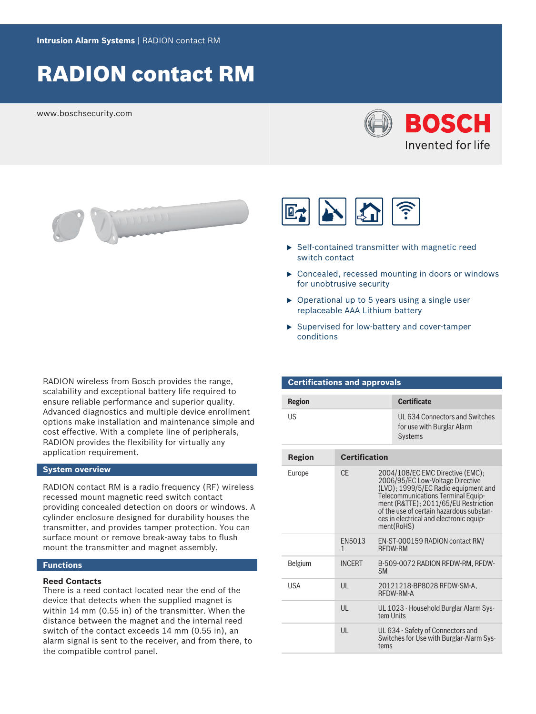# RADION contact RM

www.boschsecurity.com





RADION wireless from Bosch provides the range, scalability and exceptional battery life required to ensure reliable performance and superior quality. Advanced diagnostics and multiple device enrollment options make installation and maintenance simple and cost effective. With a complete line of peripherals, RADION provides the flexibility for virtually any application requirement.

#### **System overview**

RADION contact RM is a radio frequency (RF) wireless recessed mount magnetic reed switch contact providing concealed detection on doors or windows. A cylinder enclosure designed for durability houses the transmitter, and provides tamper protection. You can surface mount or remove break-away tabs to flush mount the transmitter and magnet assembly.

#### **Functions**

#### **Reed Contacts**

There is a reed contact located near the end of the device that detects when the supplied magnet is within 14 mm (0.55 in) of the transmitter. When the distance between the magnet and the internal reed switch of the contact exceeds 14 mm (0.55 in), an alarm signal is sent to the receiver, and from there, to the compatible control panel.



- $\triangleright$  Self-contained transmitter with magnetic reed switch contact
- $\triangleright$  Concealed, recessed mounting in doors or windows for unobtrusive security
- $\triangleright$  Operational up to 5 years using a single user replaceable AAA Lithium battery
- $\blacktriangleright$  Supervised for low-battery and cover-tamper conditions

| <b>Certifications and approvals</b> |                        |                |                                                                                                                                                                                                                                                                                                 |
|-------------------------------------|------------------------|----------------|-------------------------------------------------------------------------------------------------------------------------------------------------------------------------------------------------------------------------------------------------------------------------------------------------|
| <b>Region</b>                       |                        |                | <b>Certificate</b>                                                                                                                                                                                                                                                                              |
| US                                  |                        |                | UL 634 Connectors and Switches<br>for use with Burglar Alarm<br><b>Systems</b>                                                                                                                                                                                                                  |
| <b>Region</b>                       | <b>Certification</b>   |                |                                                                                                                                                                                                                                                                                                 |
| Europe                              | <b>CF</b>              |                | 2004/108/EC EMC Directive (EMC);<br>2006/95/EC Low-Voltage Directive<br>(LVD); 1999/5/EC Radio equipment and<br>Telecommunications Terminal Equip-<br>ment (R&TTE); 2011/65/EU Restriction<br>of the use of certain hazardous substan-<br>ces in electrical and electronic equip-<br>ment(RoHS) |
|                                     | FN5013<br>$\mathbf{1}$ | <b>RFDW-RM</b> | EN-ST-000159 RADION contact RM/                                                                                                                                                                                                                                                                 |
| Belgium                             | <b>INCFRT</b>          | <b>SM</b>      | B-509-0072 RADION RFDW-RM, RFDW-                                                                                                                                                                                                                                                                |
| <b>USA</b>                          | $\mathsf{U}$           |                | 20121218-BP8028 RFDW-SM-A,<br>RFDW-RM-A                                                                                                                                                                                                                                                         |
|                                     | $\mathsf{U}$           | tem Units      | UL 1023 - Household Burglar Alarm Sys-                                                                                                                                                                                                                                                          |
|                                     | $\mathsf{U}$           | tems           | UL 634 - Safety of Connectors and<br>Switches for Use with Burglar-Alarm Sys-                                                                                                                                                                                                                   |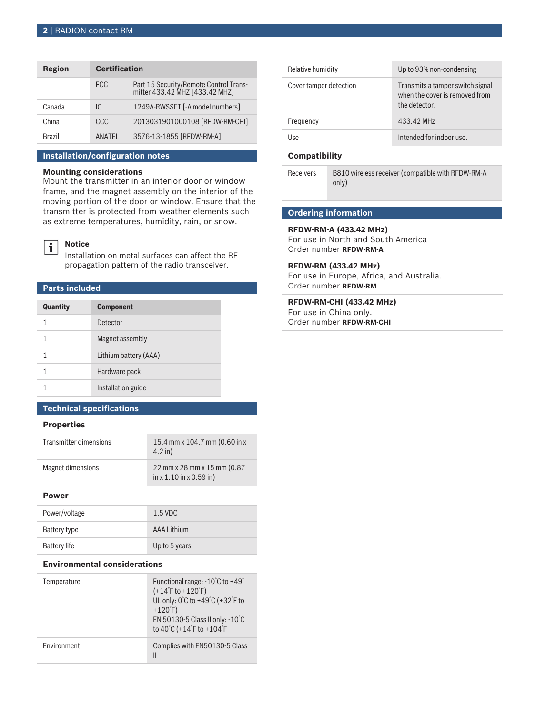| Region | <b>Certification</b> |                                                                          |
|--------|----------------------|--------------------------------------------------------------------------|
|        | <b>FCC</b>           | Part 15 Security/Remote Control Trans-<br>mitter 433.42 MHZ [433.42 MHZ] |
| Canada | IC.                  | 1249A-RWSSFT [-A model numbers]                                          |
| China  | CCC                  | 2013031901000108 [RFDW-RM-CHI]                                           |
| Brazil | <b>ANATFI</b>        | 3576-13-1855 [RFDW-RM-A]                                                 |

#### **Installation/configuration notes**

#### **Mounting considerations**

Mount the transmitter in an interior door or window frame, and the magnet assembly on the interior of the moving portion of the door or window. Ensure that the transmitter is protected from weather elements such as extreme temperatures, humidity, rain, or snow.



#### **Notice**

Installation on metal surfaces can affect the RF propagation pattern of the radio transceiver.

#### **Parts included**

| <b>Quantity</b> | <b>Component</b>      |
|-----------------|-----------------------|
| 1               | Detector              |
|                 | Magnet assembly       |
|                 | Lithium battery (AAA) |
|                 | Hardware pack         |
|                 | Installation guide    |

#### **Technical specifications**

#### **Properties**

| Transmitter dimensions | 15.4 mm x 104.7 mm (0.60 in x<br>$4.2$ in)                    |
|------------------------|---------------------------------------------------------------|
| Magnet dimensions      | 22 mm x 28 mm x 15 mm (0.87)<br>$\ln x 1.10 \ln x 0.59 \ln x$ |

#### **Power**

| Power/voltage       | $1.5$ VDC     |
|---------------------|---------------|
| Battery type        | AAA Lithium   |
| <b>Battery life</b> | Up to 5 years |

#### **Environmental considerations**

| Temperature | Functional range: -10°C to +49°<br>$(+14^{\circ}F$ to $+120^{\circ}F)$<br>UL only: $0^{\circ}$ C to +49 $^{\circ}$ C (+32 $^{\circ}$ F to<br>$+120$ <sup>°</sup> F)<br>EN 50130-5 Class II only: $-10^{\circ}$ C<br>to 40°C (+14°F to +104°F |
|-------------|----------------------------------------------------------------------------------------------------------------------------------------------------------------------------------------------------------------------------------------------|
| Fnvironment | Complies with EN50130-5 Class<br>Ш                                                                                                                                                                                                           |

| Relative humidity      | Up to 93% non-condensing                                                            |
|------------------------|-------------------------------------------------------------------------------------|
| Cover tamper detection | Transmits a tamper switch signal<br>when the cover is removed from<br>the detector. |
| Frequency              | 433.42 MHz                                                                          |
| ااحه                   | Intended for indoor use.                                                            |

#### **Compatibility**

Receivers B810 wireless receiver (compatible with RFDW-RM-A only)

## **Ordering information**

### **RFDW-RM-A (433.42 MHz)**

For use in North and South America Order number **RFDW-RM-A**

#### **RFDW-RM (433.42 MHz)**

For use in Europe, Africa, and Australia. Order number **RFDW-RM**

### **RFDW-RM-CHI (433.42 MHz)**

For use in China only. Order number **RFDW-RM-CHI**